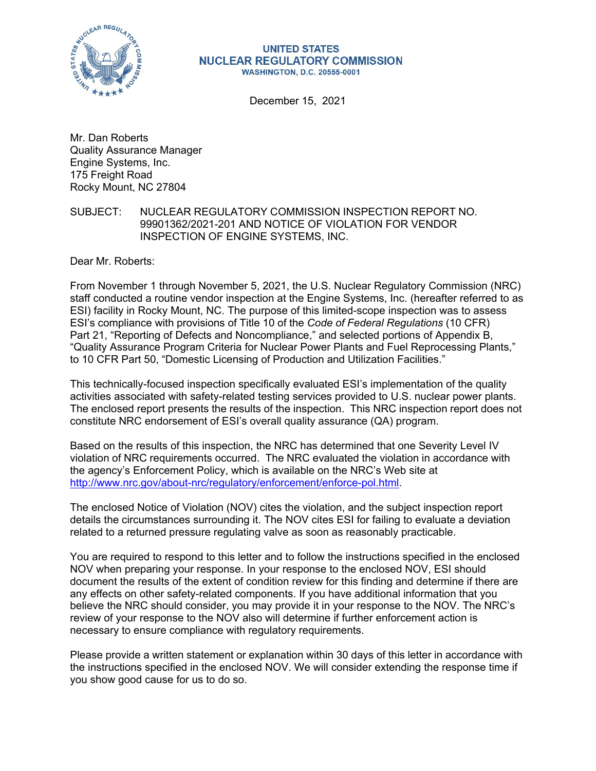

#### **UNITED STATES NUCLEAR REGULATORY COMMISSION WASHINGTON, D.C. 20555-0001**

December 15, 2021

Mr. Dan Roberts Quality Assurance Manager Engine Systems, Inc. 175 Freight Road Rocky Mount, NC 27804

## SUBJECT: NUCLEAR REGULATORY COMMISSION INSPECTION REPORT NO. 99901362/2021-201 AND NOTICE OF VIOLATION FOR VENDOR INSPECTION OF ENGINE SYSTEMS, INC.

Dear Mr. Roberts:

From November 1 through November 5, 2021, the U.S. Nuclear Regulatory Commission (NRC) staff conducted a routine vendor inspection at the Engine Systems, Inc. (hereafter referred to as ESI) facility in Rocky Mount, NC. The purpose of this limited-scope inspection was to assess ESI's compliance with provisions of Title 10 of the *Code of Federal Regulations* (10 CFR) Part 21, "Reporting of Defects and Noncompliance," and selected portions of Appendix B, "Quality Assurance Program Criteria for Nuclear Power Plants and Fuel Reprocessing Plants," to 10 CFR Part 50, "Domestic Licensing of Production and Utilization Facilities."

This technically-focused inspection specifically evaluated ESI's implementation of the quality activities associated with safety-related testing services provided to U.S. nuclear power plants. The enclosed report presents the results of the inspection. This NRC inspection report does not constitute NRC endorsement of ESI's overall quality assurance (QA) program.

Based on the results of this inspection, the NRC has determined that one Severity Level IV violation of NRC requirements occurred. The NRC evaluated the violation in accordance with the agency's Enforcement Policy, which is available on the NRC's Web site at [http://www.nrc.gov/about-nrc/regulatory/enforcement/enforce-pol.html.](http://www.nrc.gov/about-nrc/regulatory/enforcement/enforce-pol.html)

The enclosed Notice of Violation (NOV) cites the violation, and the subject inspection report details the circumstances surrounding it. The NOV cites ESI for failing to evaluate a deviation related to a returned pressure regulating valve as soon as reasonably practicable.

You are required to respond to this letter and to follow the instructions specified in the enclosed NOV when preparing your response. In your response to the enclosed NOV, ESI should document the results of the extent of condition review for this finding and determine if there are any effects on other safety-related components. If you have additional information that you believe the NRC should consider, you may provide it in your response to the NOV. The NRC's review of your response to the NOV also will determine if further enforcement action is necessary to ensure compliance with regulatory requirements.

Please provide a written statement or explanation within 30 days of this letter in accordance with the instructions specified in the enclosed NOV. We will consider extending the response time if you show good cause for us to do so.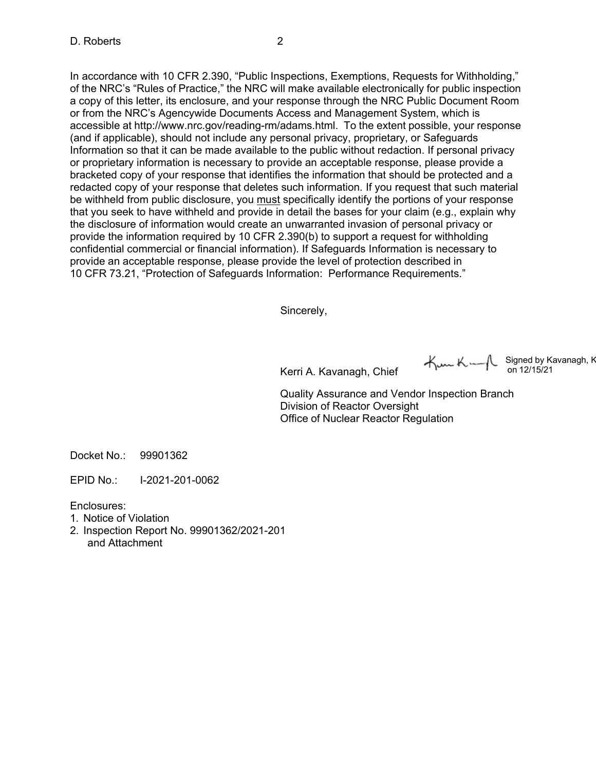In accordance with 10 CFR 2.390, "Public Inspections, Exemptions, Requests for Withholding," of the NRC's "Rules of Practice," the NRC will make available electronically for public inspection a copy of this letter, its enclosure, and your response through the NRC Public Document Room or from the NRC's Agencywide Documents Access and Management System, which is accessible at [http://www.nrc.gov/reading-rm/adams.html.](http://www.nrc.gov/reading-rm/adams.html) To the extent possible, your response (and if applicable), should not include any personal privacy, proprietary, or Safeguards Information so that it can be made available to the public without redaction. If personal privacy or proprietary information is necessary to provide an acceptable response, please provide a bracketed copy of your response that identifies the information that should be protected and a redacted copy of your response that deletes such information. If you request that such material be withheld from public disclosure, you must specifically identify the portions of your response that you seek to have withheld and provide in detail the bases for your claim (e.g., explain why the disclosure of information would create an unwarranted invasion of personal privacy or provide the information required by 10 CFR 2.390(b) to support a request for withholding confidential commercial or financial information). If Safeguards Information is necessary to provide an acceptable response, please provide the level of protection described in 10 CFR 73.21, "Protection of Safeguards Information: Performance Requirements."

Sincerely,

Kerri A. Kavanagh, Chief

 $K = \begin{bmatrix} \text{Signed by Kavanagh, K} \\ \text{on } 12/15/21 \end{bmatrix}$ 

Quality Assurance and Vendor Inspection Branch Division of Reactor Oversight Office of Nuclear Reactor Regulation

Docket No.: 99901362

EPID No.: I-2021-201-0062

Enclosures:

- 1. Notice of Violation
- 2. Inspection Report No. 99901362/2021-201 and Attachment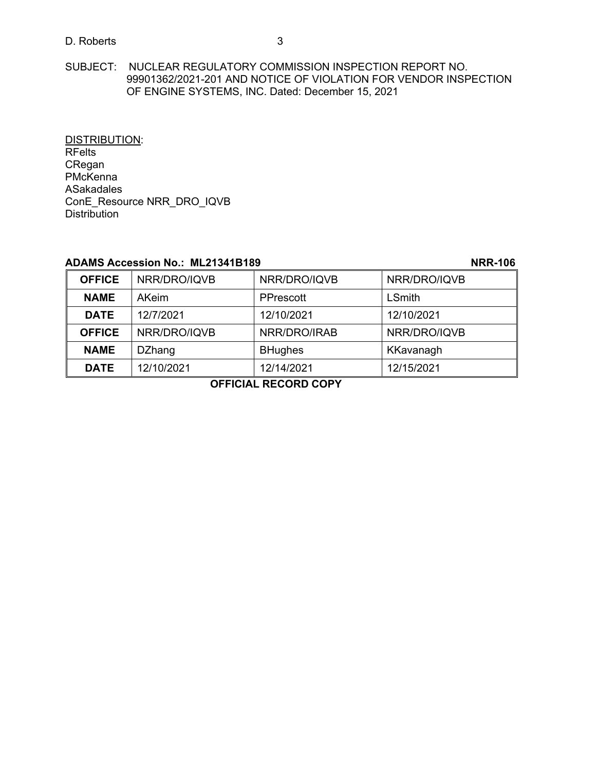## D. Roberts 3

SUBJECT: NUCLEAR REGULATORY COMMISSION INSPECTION REPORT NO. 99901362/2021-201 AND NOTICE OF VIOLATION FOR VENDOR INSPECTION OF ENGINE SYSTEMS, INC. Dated: December 15, 2021

DISTRIBUTION: RFelts CRegan PMcKenna ASakadales ConE\_Resource NRR\_DRO\_IQVB **Distribution** 

## **ADAMS Accession No.: ML21341B189 NRR-106**

| <b>OFFICE</b>                                                               | NRR/DRO/IQVB  | NRR/DRO/IQVB   | NRR/DRO/IQVB  |
|-----------------------------------------------------------------------------|---------------|----------------|---------------|
| <b>NAME</b>                                                                 | <b>AKeim</b>  | PPrescott      | <b>LSmith</b> |
| <b>DATE</b>                                                                 | 12/7/2021     | 12/10/2021     | 12/10/2021    |
| <b>OFFICE</b>                                                               | NRR/DRO/IQVB  | NRR/DRO/IRAB   | NRR/DRO/IQVB  |
| <b>NAME</b>                                                                 | <b>DZhang</b> | <b>BHughes</b> | KKavanagh     |
| <b>DATE</b>                                                                 | 12/10/2021    | 12/14/2021     | 12/15/2021    |
| $\mathbf{A} = \mathbf{B} \mathbf{A} + \mathbf{B} \mathbf{B}$<br>BEAGBB AABV |               |                |               |

**OFFICIAL RECORD COPY**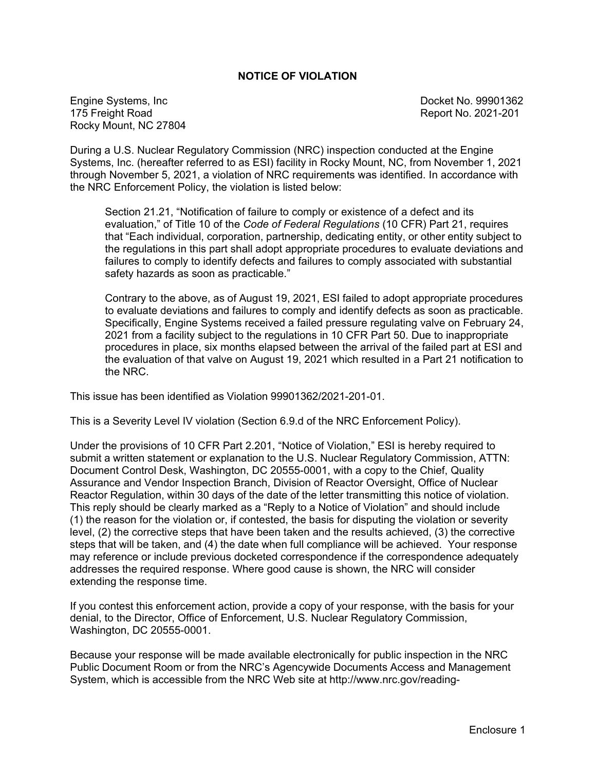## **NOTICE OF VIOLATION**

Engine Systems, Inc Docket No. 99901362 Rocky Mount, NC 27804

Report No. 2021-201

During a U.S. Nuclear Regulatory Commission (NRC) inspection conducted at the Engine Systems, Inc. (hereafter referred to as ESI) facility in Rocky Mount, NC, from November 1, 2021 through November 5, 2021, a violation of NRC requirements was identified. In accordance with the NRC Enforcement Policy, the violation is listed below:

Section 21.21, "Notification of failure to comply or existence of a defect and its evaluation," of Title 10 of the *Code of Federal Regulations* (10 CFR) Part 21, requires that "Each individual, corporation, partnership, dedicating entity, or other entity subject to the regulations in this part shall adopt appropriate procedures to evaluate deviations and failures to comply to identify defects and failures to comply associated with substantial safety hazards as soon as practicable."

Contrary to the above, as of August 19, 2021, ESI failed to adopt appropriate procedures to evaluate deviations and failures to comply and identify defects as soon as practicable. Specifically, Engine Systems received a failed pressure regulating valve on February 24, 2021 from a facility subject to the regulations in 10 CFR Part 50. Due to inappropriate procedures in place, six months elapsed between the arrival of the failed part at ESI and the evaluation of that valve on August 19, 2021 which resulted in a Part 21 notification to the NRC.

This issue has been identified as Violation 99901362/2021-201-01.

This is a Severity Level IV violation (Section 6.9.d of the NRC Enforcement Policy).

Under the provisions of 10 CFR Part 2.201, "Notice of Violation," ESI is hereby required to submit a written statement or explanation to the U.S. Nuclear Regulatory Commission, ATTN: Document Control Desk, Washington, DC 20555-0001, with a copy to the Chief, Quality Assurance and Vendor Inspection Branch, Division of Reactor Oversight, Office of Nuclear Reactor Regulation, within 30 days of the date of the letter transmitting this notice of violation. This reply should be clearly marked as a "Reply to a Notice of Violation" and should include (1) the reason for the violation or, if contested, the basis for disputing the violation or severity level, (2) the corrective steps that have been taken and the results achieved, (3) the corrective steps that will be taken, and (4) the date when full compliance will be achieved. Your response may reference or include previous docketed correspondence if the correspondence adequately addresses the required response. Where good cause is shown, the NRC will consider extending the response time.

If you contest this enforcement action, provide a copy of your response, with the basis for your denial, to the Director, Office of Enforcement, U.S. Nuclear Regulatory Commission, Washington, DC 20555-0001.

Because your response will be made available electronically for public inspection in the NRC Public Document Room or from the NRC's Agencywide Documents Access and Management System, which is accessible from the NRC Web site at <http://www.nrc.gov/reading->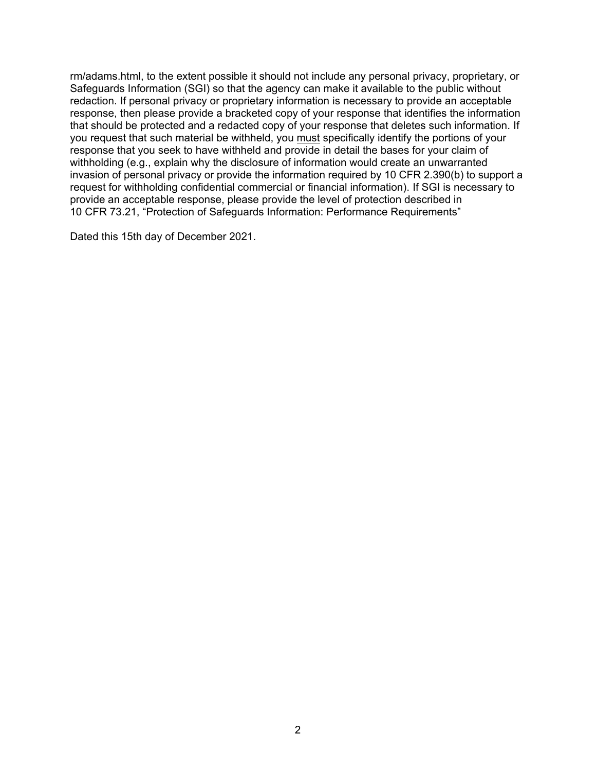rm/adams.html, to the extent possible it should not include any personal privacy, proprietary, or Safeguards Information (SGI) so that the agency can make it available to the public without redaction. If personal privacy or proprietary information is necessary to provide an acceptable response, then please provide a bracketed copy of your response that identifies the information that should be protected and a redacted copy of your response that deletes such information. If you request that such material be withheld, you must specifically identify the portions of your response that you seek to have withheld and provide in detail the bases for your claim of withholding (e.g., explain why the disclosure of information would create an unwarranted invasion of personal privacy or provide the information required by 10 CFR 2.390(b) to support a request for withholding confidential commercial or financial information). If SGI is necessary to provide an acceptable response, please provide the level of protection described in 10 CFR 73.21, "Protection of Safeguards Information: Performance Requirements"

Dated this 15th day of December 2021.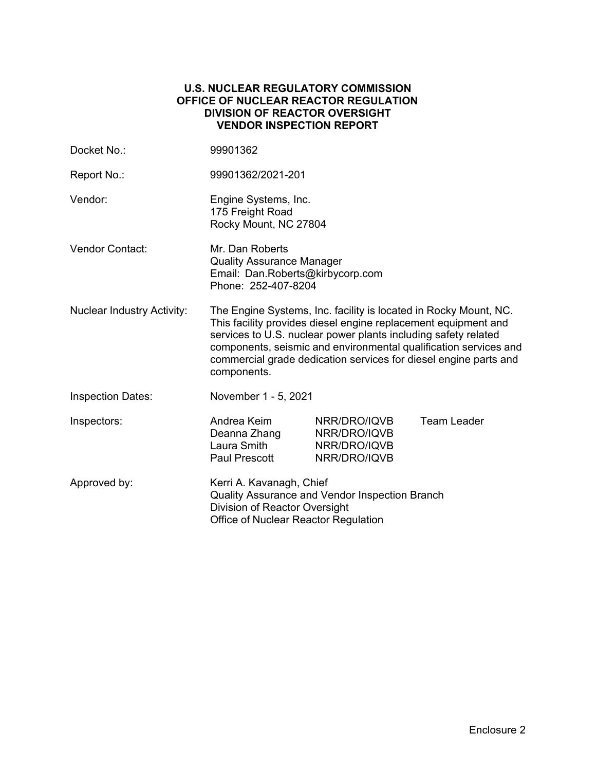## **U.S. NUCLEAR REGULATORY COMMISSION OFFICE OF NUCLEAR REACTOR REGULATION DIVISION OF REACTOR OVERSIGHT VENDOR INSPECTION REPORT**

| Docket No.:                       | 99901362                                                                                                                                                                                                                                                                                                                                                    |                                                              |                    |
|-----------------------------------|-------------------------------------------------------------------------------------------------------------------------------------------------------------------------------------------------------------------------------------------------------------------------------------------------------------------------------------------------------------|--------------------------------------------------------------|--------------------|
| Report No.:                       | 99901362/2021-201                                                                                                                                                                                                                                                                                                                                           |                                                              |                    |
| Vendor:                           | Engine Systems, Inc.<br>175 Freight Road<br>Rocky Mount, NC 27804                                                                                                                                                                                                                                                                                           |                                                              |                    |
| <b>Vendor Contact:</b>            | Mr. Dan Roberts<br><b>Quality Assurance Manager</b><br>Email: Dan.Roberts@kirbycorp.com<br>Phone: 252-407-8204                                                                                                                                                                                                                                              |                                                              |                    |
| <b>Nuclear Industry Activity:</b> | The Engine Systems, Inc. facility is located in Rocky Mount, NC.<br>This facility provides diesel engine replacement equipment and<br>services to U.S. nuclear power plants including safety related<br>components, seismic and environmental qualification services and<br>commercial grade dedication services for diesel engine parts and<br>components. |                                                              |                    |
| <b>Inspection Dates:</b>          | November 1 - 5, 2021                                                                                                                                                                                                                                                                                                                                        |                                                              |                    |
| Inspectors:                       | Andrea Keim<br>Deanna Zhang<br>Laura Smith<br>Paul Prescott                                                                                                                                                                                                                                                                                                 | NRR/DRO/IQVB<br>NRR/DRO/IQVB<br>NRR/DRO/IQVB<br>NRR/DRO/IQVB | <b>Team Leader</b> |
| Approved by:                      | Kerri A. Kavanagh, Chief<br>Quality Assurance and Vendor Inspection Branch<br>Division of Reactor Oversight<br>Office of Nuclear Reactor Regulation                                                                                                                                                                                                         |                                                              |                    |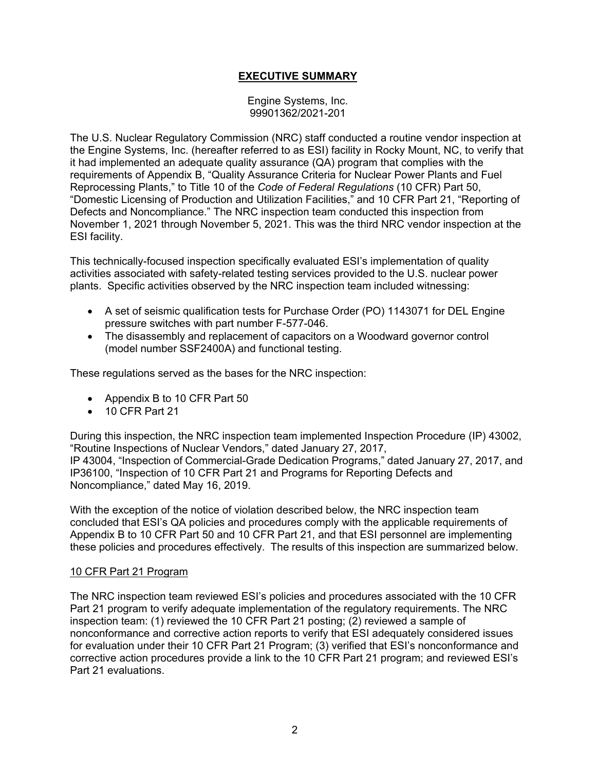## **EXECUTIVE SUMMARY**

Engine Systems, Inc. 99901362/2021-201

The U.S. Nuclear Regulatory Commission (NRC) staff conducted a routine vendor inspection at the Engine Systems, Inc. (hereafter referred to as ESI) facility in Rocky Mount, NC, to verify that it had implemented an adequate quality assurance (QA) program that complies with the requirements of Appendix B, "Quality Assurance Criteria for Nuclear Power Plants and Fuel Reprocessing Plants," to Title 10 of the *Code of Federal Regulations* (10 CFR) Part 50, "Domestic Licensing of Production and Utilization Facilities," and 10 CFR Part 21, "Reporting of Defects and Noncompliance." The NRC inspection team conducted this inspection from November 1, 2021 through November 5, 2021. This was the third NRC vendor inspection at the ESI facility.

This technically-focused inspection specifically evaluated ESI's implementation of quality activities associated with safety-related testing services provided to the U.S. nuclear power plants. Specific activities observed by the NRC inspection team included witnessing:

- A set of seismic qualification tests for Purchase Order (PO) 1143071 for DEL Engine pressure switches with part number F-577-046.
- The disassembly and replacement of capacitors on a Woodward governor control (model number SSF2400A) and functional testing.

These regulations served as the bases for the NRC inspection:

- Appendix B to 10 CFR Part 50
- 10 CFR Part 21

During this inspection, the NRC inspection team implemented Inspection Procedure (IP) 43002, "Routine Inspections of Nuclear Vendors," dated January 27, 2017, IP 43004, "Inspection of Commercial-Grade Dedication Programs," dated January 27, 2017, and IP36100, "Inspection of 10 CFR Part 21 and Programs for Reporting Defects and Noncompliance," dated May 16, 2019.

With the exception of the notice of violation described below, the NRC inspection team concluded that ESI's QA policies and procedures comply with the applicable requirements of Appendix B to 10 CFR Part 50 and 10 CFR Part 21, and that ESI personnel are implementing these policies and procedures effectively. The results of this inspection are summarized below.

### 10 CFR Part 21 Program

The NRC inspection team reviewed ESI's policies and procedures associated with the 10 CFR Part 21 program to verify adequate implementation of the regulatory requirements. The NRC inspection team: (1) reviewed the 10 CFR Part 21 posting; (2) reviewed a sample of nonconformance and corrective action reports to verify that ESI adequately considered issues for evaluation under their 10 CFR Part 21 Program; (3) verified that ESI's nonconformance and corrective action procedures provide a link to the 10 CFR Part 21 program; and reviewed ESI's Part 21 evaluations.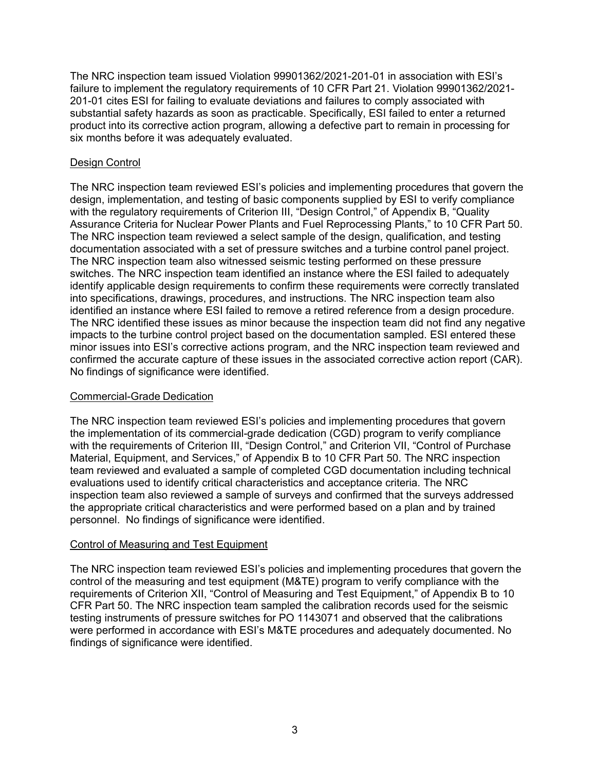The NRC inspection team issued Violation 99901362/2021-201-01 in association with ESI's failure to implement the regulatory requirements of 10 CFR Part 21. Violation 99901362/2021- 201-01 cites ESI for failing to evaluate deviations and failures to comply associated with substantial safety hazards as soon as practicable. Specifically, ESI failed to enter a returned product into its corrective action program, allowing a defective part to remain in processing for six months before it was adequately evaluated.

## Design Control

The NRC inspection team reviewed ESI's policies and implementing procedures that govern the design, implementation, and testing of basic components supplied by ESI to verify compliance with the regulatory requirements of Criterion III, "Design Control," of Appendix B, "Quality Assurance Criteria for Nuclear Power Plants and Fuel Reprocessing Plants," to 10 CFR Part 50. The NRC inspection team reviewed a select sample of the design, qualification, and testing documentation associated with a set of pressure switches and a turbine control panel project. The NRC inspection team also witnessed seismic testing performed on these pressure switches. The NRC inspection team identified an instance where the ESI failed to adequately identify applicable design requirements to confirm these requirements were correctly translated into specifications, drawings, procedures, and instructions. The NRC inspection team also identified an instance where ESI failed to remove a retired reference from a design procedure. The NRC identified these issues as minor because the inspection team did not find any negative impacts to the turbine control project based on the documentation sampled. ESI entered these minor issues into ESI's corrective actions program, and the NRC inspection team reviewed and confirmed the accurate capture of these issues in the associated corrective action report (CAR). No findings of significance were identified.

## Commercial-Grade Dedication

The NRC inspection team reviewed ESI's policies and implementing procedures that govern the implementation of its commercial-grade dedication (CGD) program to verify compliance with the requirements of Criterion III, "Design Control," and Criterion VII, "Control of Purchase Material, Equipment, and Services," of Appendix B to 10 CFR Part 50. The NRC inspection team reviewed and evaluated a sample of completed CGD documentation including technical evaluations used to identify critical characteristics and acceptance criteria. The NRC inspection team also reviewed a sample of surveys and confirmed that the surveys addressed the appropriate critical characteristics and were performed based on a plan and by trained personnel. No findings of significance were identified.

## Control of Measuring and Test Equipment

The NRC inspection team reviewed ESI's policies and implementing procedures that govern the control of the measuring and test equipment (M&TE) program to verify compliance with the requirements of Criterion XII, "Control of Measuring and Test Equipment," of Appendix B to 10 CFR Part 50. The NRC inspection team sampled the calibration records used for the seismic testing instruments of pressure switches for PO 1143071 and observed that the calibrations were performed in accordance with ESI's M&TE procedures and adequately documented. No findings of significance were identified.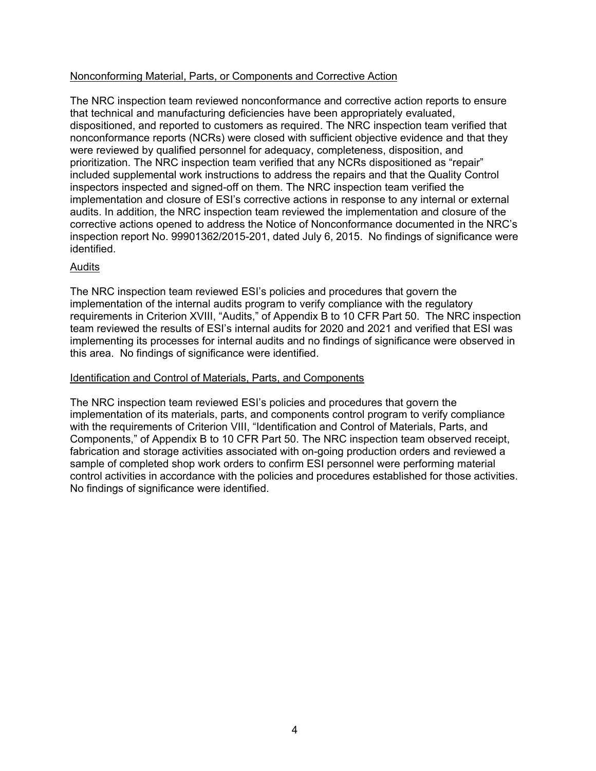## Nonconforming Material, Parts, or Components and Corrective Action

The NRC inspection team reviewed nonconformance and corrective action reports to ensure that technical and manufacturing deficiencies have been appropriately evaluated, dispositioned, and reported to customers as required. The NRC inspection team verified that nonconformance reports (NCRs) were closed with sufficient objective evidence and that they were reviewed by qualified personnel for adequacy, completeness, disposition, and prioritization. The NRC inspection team verified that any NCRs dispositioned as "repair" included supplemental work instructions to address the repairs and that the Quality Control inspectors inspected and signed-off on them. The NRC inspection team verified the implementation and closure of ESI's corrective actions in response to any internal or external audits. In addition, the NRC inspection team reviewed the implementation and closure of the corrective actions opened to address the Notice of Nonconformance documented in the NRC's inspection report No. 99901362/2015-201, dated July 6, 2015. No findings of significance were identified.

## Audits

The NRC inspection team reviewed ESI's policies and procedures that govern the implementation of the internal audits program to verify compliance with the regulatory requirements in Criterion XVIII, "Audits," of Appendix B to 10 CFR Part 50. The NRC inspection team reviewed the results of ESI's internal audits for 2020 and 2021 and verified that ESI was implementing its processes for internal audits and no findings of significance were observed in this area. No findings of significance were identified.

## Identification and Control of Materials, Parts, and Components

The NRC inspection team reviewed ESI's policies and procedures that govern the implementation of its materials, parts, and components control program to verify compliance with the requirements of Criterion VIII, "Identification and Control of Materials, Parts, and Components," of Appendix B to 10 CFR Part 50. The NRC inspection team observed receipt, fabrication and storage activities associated with on-going production orders and reviewed a sample of completed shop work orders to confirm ESI personnel were performing material control activities in accordance with the policies and procedures established for those activities. No findings of significance were identified.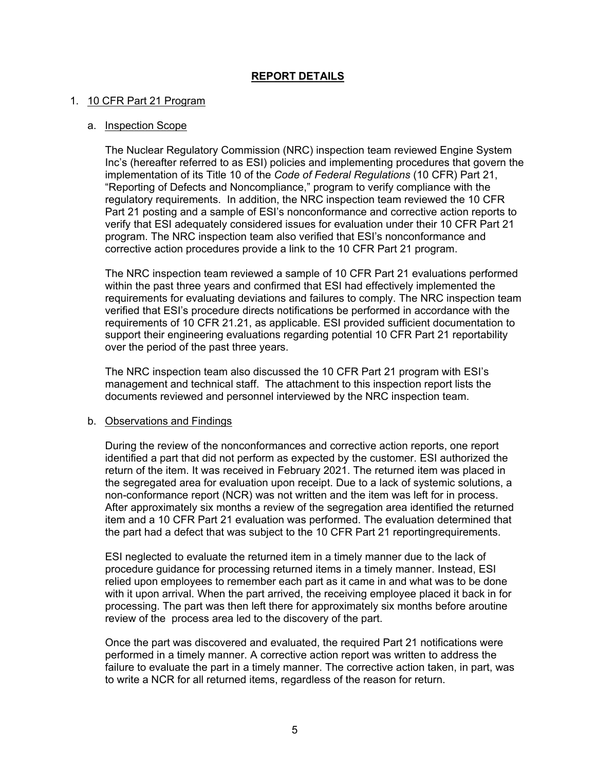## **REPORT DETAILS**

## 1. 10 CFR Part 21 Program

### a. Inspection Scope

The Nuclear Regulatory Commission (NRC) inspection team reviewed Engine System Inc's (hereafter referred to as ESI) policies and implementing procedures that govern the implementation of its Title 10 of the *Code of Federal Regulations* (10 CFR) Part 21, "Reporting of Defects and Noncompliance," program to verify compliance with the regulatory requirements. In addition, the NRC inspection team reviewed the 10 CFR Part 21 posting and a sample of ESI's nonconformance and corrective action reports to verify that ESI adequately considered issues for evaluation under their 10 CFR Part 21 program. The NRC inspection team also verified that ESI's nonconformance and corrective action procedures provide a link to the 10 CFR Part 21 program.

The NRC inspection team reviewed a sample of 10 CFR Part 21 evaluations performed within the past three years and confirmed that ESI had effectively implemented the requirements for evaluating deviations and failures to comply. The NRC inspection team verified that ESI's procedure directs notifications be performed in accordance with the requirements of 10 CFR 21.21, as applicable. ESI provided sufficient documentation to support their engineering evaluations regarding potential 10 CFR Part 21 reportability over the period of the past three years.

The NRC inspection team also discussed the 10 CFR Part 21 program with ESI's management and technical staff. The attachment to this inspection report lists the documents reviewed and personnel interviewed by the NRC inspection team.

### b. Observations and Findings

During the review of the nonconformances and corrective action reports, one report identified a part that did not perform as expected by the customer. ESI authorized the return of the item. It was received in February 2021. The returned item was placed in the segregated area for evaluation upon receipt. Due to a lack of systemic solutions, a non-conformance report (NCR) was not written and the item was left for in process. After approximately six months a review of the segregation area identified the returned item and a 10 CFR Part 21 evaluation was performed. The evaluation determined that the part had a defect that was subject to the 10 CFR Part 21 reportingrequirements.

ESI neglected to evaluate the returned item in a timely manner due to the lack of procedure guidance for processing returned items in a timely manner. Instead, ESI relied upon employees to remember each part as it came in and what was to be done with it upon arrival. When the part arrived, the receiving employee placed it back in for processing. The part was then left there for approximately six months before aroutine review of the process area led to the discovery of the part.

Once the part was discovered and evaluated, the required Part 21 notifications were performed in a timely manner. A corrective action report was written to address the failure to evaluate the part in a timely manner. The corrective action taken, in part, was to write a NCR for all returned items, regardless of the reason for return.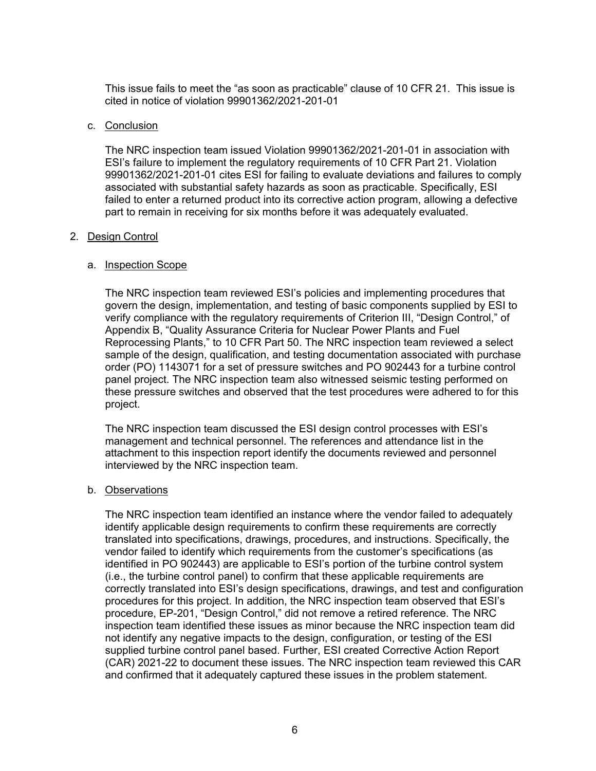This issue fails to meet the "as soon as practicable" clause of 10 CFR 21. This issue is cited in notice of violation 99901362/2021-201-01

#### c. Conclusion

The NRC inspection team issued Violation 99901362/2021-201-01 in association with ESI's failure to implement the regulatory requirements of 10 CFR Part 21. Violation 99901362/2021-201-01 cites ESI for failing to evaluate deviations and failures to comply associated with substantial safety hazards as soon as practicable. Specifically, ESI failed to enter a returned product into its corrective action program, allowing a defective part to remain in receiving for six months before it was adequately evaluated.

### 2. Design Control

### a. Inspection Scope

The NRC inspection team reviewed ESI's policies and implementing procedures that govern the design, implementation, and testing of basic components supplied by ESI to verify compliance with the regulatory requirements of Criterion III, "Design Control," of Appendix B, "Quality Assurance Criteria for Nuclear Power Plants and Fuel Reprocessing Plants," to 10 CFR Part 50. The NRC inspection team reviewed a select sample of the design, qualification, and testing documentation associated with purchase order (PO) 1143071 for a set of pressure switches and PO 902443 for a turbine control panel project. The NRC inspection team also witnessed seismic testing performed on these pressure switches and observed that the test procedures were adhered to for this project.

The NRC inspection team discussed the ESI design control processes with ESI's management and technical personnel. The references and attendance list in the attachment to this inspection report identify the documents reviewed and personnel interviewed by the NRC inspection team.

#### b. Observations

The NRC inspection team identified an instance where the vendor failed to adequately identify applicable design requirements to confirm these requirements are correctly translated into specifications, drawings, procedures, and instructions. Specifically, the vendor failed to identify which requirements from the customer's specifications (as identified in PO 902443) are applicable to ESI's portion of the turbine control system (i.e., the turbine control panel) to confirm that these applicable requirements are correctly translated into ESI's design specifications, drawings, and test and configuration procedures for this project. In addition, the NRC inspection team observed that ESI's procedure, EP-201, "Design Control," did not remove a retired reference. The NRC inspection team identified these issues as minor because the NRC inspection team did not identify any negative impacts to the design, configuration, or testing of the ESI supplied turbine control panel based. Further, ESI created Corrective Action Report (CAR) 2021-22 to document these issues. The NRC inspection team reviewed this CAR and confirmed that it adequately captured these issues in the problem statement.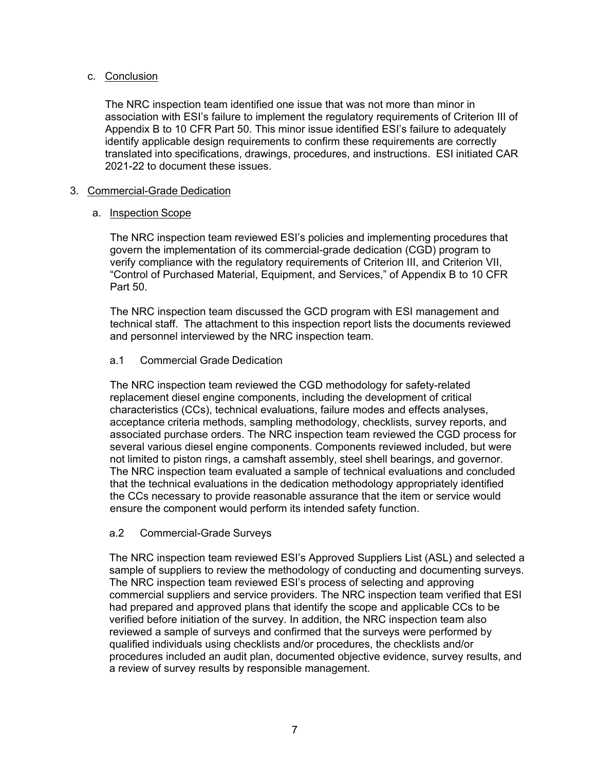## c. Conclusion

The NRC inspection team identified one issue that was not more than minor in association with ESI's failure to implement the regulatory requirements of Criterion III of Appendix B to 10 CFR Part 50. This minor issue identified ESI's failure to adequately identify applicable design requirements to confirm these requirements are correctly translated into specifications, drawings, procedures, and instructions. ESI initiated CAR 2021-22 to document these issues.

## 3. Commercial-Grade Dedication

## a. Inspection Scope

The NRC inspection team reviewed ESI's policies and implementing procedures that govern the implementation of its commercial-grade dedication (CGD) program to verify compliance with the regulatory requirements of Criterion III, and Criterion VII, "Control of Purchased Material, Equipment, and Services," of Appendix B to 10 CFR Part 50.

The NRC inspection team discussed the GCD program with ESI management and technical staff. The attachment to this inspection report lists the documents reviewed and personnel interviewed by the NRC inspection team.

## a.1 Commercial Grade Dedication

The NRC inspection team reviewed the CGD methodology for safety-related replacement diesel engine components, including the development of critical characteristics (CCs), technical evaluations, failure modes and effects analyses, acceptance criteria methods, sampling methodology, checklists, survey reports, and associated purchase orders. The NRC inspection team reviewed the CGD process for several various diesel engine components. Components reviewed included, but were not limited to piston rings, a camshaft assembly, steel shell bearings, and governor. The NRC inspection team evaluated a sample of technical evaluations and concluded that the technical evaluations in the dedication methodology appropriately identified the CCs necessary to provide reasonable assurance that the item or service would ensure the component would perform its intended safety function.

### a.2 Commercial-Grade Surveys

The NRC inspection team reviewed ESI's Approved Suppliers List (ASL) and selected a sample of suppliers to review the methodology of conducting and documenting surveys. The NRC inspection team reviewed ESI's process of selecting and approving commercial suppliers and service providers. The NRC inspection team verified that ESI had prepared and approved plans that identify the scope and applicable CCs to be verified before initiation of the survey. In addition, the NRC inspection team also reviewed a sample of surveys and confirmed that the surveys were performed by qualified individuals using checklists and/or procedures, the checklists and/or procedures included an audit plan, documented objective evidence, survey results, and a review of survey results by responsible management.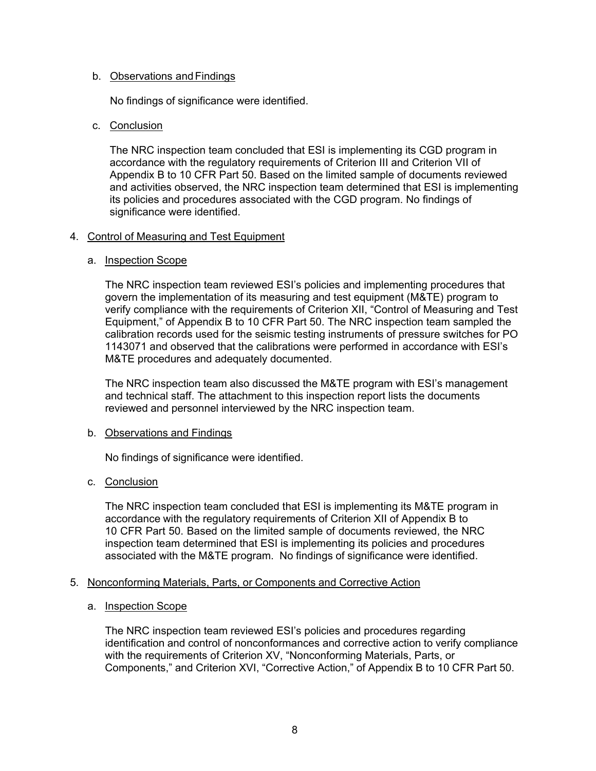## b. Observations andFindings

No findings of significance were identified.

## c. Conclusion

The NRC inspection team concluded that ESI is implementing its CGD program in accordance with the regulatory requirements of Criterion III and Criterion VII of Appendix B to 10 CFR Part 50. Based on the limited sample of documents reviewed and activities observed, the NRC inspection team determined that ESI is implementing its policies and procedures associated with the CGD program. No findings of significance were identified.

## 4. Control of Measuring and Test Equipment

## a. Inspection Scope

The NRC inspection team reviewed ESI's policies and implementing procedures that govern the implementation of its measuring and test equipment (M&TE) program to verify compliance with the requirements of Criterion XII, "Control of Measuring and Test Equipment," of Appendix B to 10 CFR Part 50. The NRC inspection team sampled the calibration records used for the seismic testing instruments of pressure switches for PO 1143071 and observed that the calibrations were performed in accordance with ESI's M&TE procedures and adequately documented.

The NRC inspection team also discussed the M&TE program with ESI's management and technical staff. The attachment to this inspection report lists the documents reviewed and personnel interviewed by the NRC inspection team.

## b. Observations and Findings

No findings of significance were identified.

## c. Conclusion

The NRC inspection team concluded that ESI is implementing its M&TE program in accordance with the regulatory requirements of Criterion XII of Appendix B to 10 CFR Part 50. Based on the limited sample of documents reviewed, the NRC inspection team determined that ESI is implementing its policies and procedures associated with the M&TE program. No findings of significance were identified.

### 5. Nonconforming Materials, Parts, or Components and Corrective Action

### a. Inspection Scope

The NRC inspection team reviewed ESI's policies and procedures regarding identification and control of nonconformances and corrective action to verify compliance with the requirements of Criterion XV, "Nonconforming Materials, Parts, or Components," and Criterion XVI, "Corrective Action," of Appendix B to 10 CFR Part 50.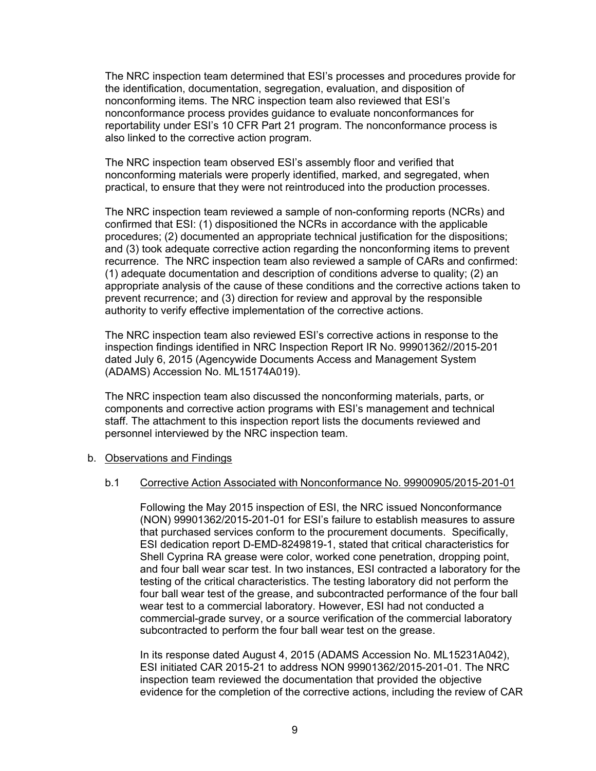The NRC inspection team determined that ESI's processes and procedures provide for the identification, documentation, segregation, evaluation, and disposition of nonconforming items. The NRC inspection team also reviewed that ESI's nonconformance process provides guidance to evaluate nonconformances for reportability under ESI's 10 CFR Part 21 program. The nonconformance process is also linked to the corrective action program.

The NRC inspection team observed ESI's assembly floor and verified that nonconforming materials were properly identified, marked, and segregated, when practical, to ensure that they were not reintroduced into the production processes.

The NRC inspection team reviewed a sample of non-conforming reports (NCRs) and confirmed that ESI: (1) dispositioned the NCRs in accordance with the applicable procedures; (2) documented an appropriate technical justification for the dispositions; and (3) took adequate corrective action regarding the nonconforming items to prevent recurrence. The NRC inspection team also reviewed a sample of CARs and confirmed: (1) adequate documentation and description of conditions adverse to quality; (2) an appropriate analysis of the cause of these conditions and the corrective actions taken to prevent recurrence; and (3) direction for review and approval by the responsible authority to verify effective implementation of the corrective actions.

The NRC inspection team also reviewed ESI's corrective actions in response to the inspection findings identified in NRC Inspection Report IR No. 99901362//2015-201 dated July 6, 2015 (Agencywide Documents Access and Management System (ADAMS) Accession No. ML15174A019).

The NRC inspection team also discussed the nonconforming materials, parts, or components and corrective action programs with ESI's management and technical staff. The attachment to this inspection report lists the documents reviewed and personnel interviewed by the NRC inspection team.

#### b. Observations and Findings

#### b.1 Corrective Action Associated with Nonconformance No. 99900905/2015-201-01

Following the May 2015 inspection of ESI, the NRC issued Nonconformance (NON) 99901362/2015-201-01 for ESI's failure to establish measures to assure that purchased services conform to the procurement documents. Specifically, ESI dedication report D-EMD-8249819-1, stated that critical characteristics for Shell Cyprina RA grease were color, worked cone penetration, dropping point, and four ball wear scar test. In two instances, ESI contracted a laboratory for the testing of the critical characteristics. The testing laboratory did not perform the four ball wear test of the grease, and subcontracted performance of the four ball wear test to a commercial laboratory. However, ESI had not conducted a commercial-grade survey, or a source verification of the commercial laboratory subcontracted to perform the four ball wear test on the grease.

In its response dated August 4, 2015 (ADAMS Accession No. ML15231A042), ESI initiated CAR 2015-21 to address NON 99901362/2015-201-01. The NRC inspection team reviewed the documentation that provided the objective evidence for the completion of the corrective actions, including the review of CAR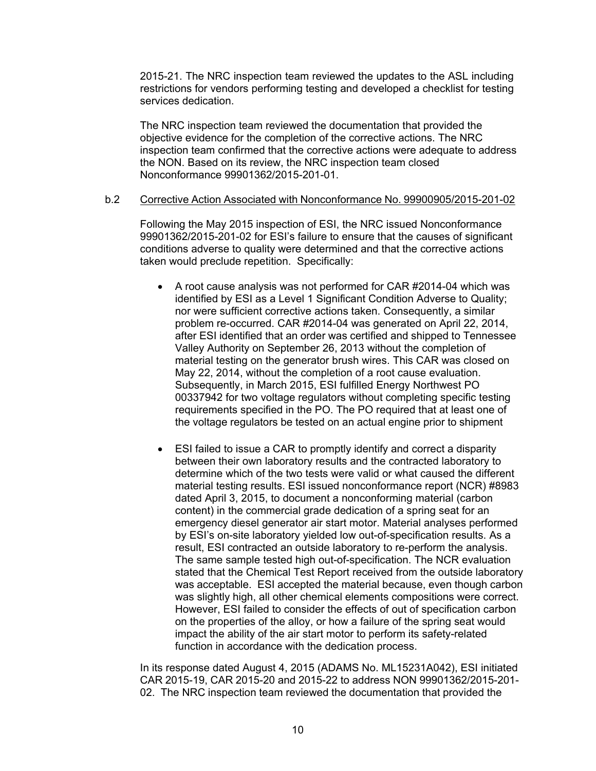2015-21. The NRC inspection team reviewed the updates to the ASL including restrictions for vendors performing testing and developed a checklist for testing services dedication.

The NRC inspection team reviewed the documentation that provided the objective evidence for the completion of the corrective actions. The NRC inspection team confirmed that the corrective actions were adequate to address the NON. Based on its review, the NRC inspection team closed Nonconformance 99901362/2015-201-01.

### b.2 Corrective Action Associated with Nonconformance No. 99900905/2015-201-02

Following the May 2015 inspection of ESI, the NRC issued Nonconformance 99901362/2015-201-02 for ESI's failure to ensure that the causes of significant conditions adverse to quality were determined and that the corrective actions taken would preclude repetition. Specifically:

- A root cause analysis was not performed for CAR #2014-04 which was identified by ESI as a Level 1 Significant Condition Adverse to Quality; nor were sufficient corrective actions taken. Consequently, a similar problem re-occurred. CAR #2014-04 was generated on April 22, 2014, after ESI identified that an order was certified and shipped to Tennessee Valley Authority on September 26, 2013 without the completion of material testing on the generator brush wires. This CAR was closed on May 22, 2014, without the completion of a root cause evaluation. Subsequently, in March 2015, ESI fulfilled Energy Northwest PO 00337942 for two voltage regulators without completing specific testing requirements specified in the PO. The PO required that at least one of the voltage regulators be tested on an actual engine prior to shipment
- ESI failed to issue a CAR to promptly identify and correct a disparity between their own laboratory results and the contracted laboratory to determine which of the two tests were valid or what caused the different material testing results. ESI issued nonconformance report (NCR) #8983 dated April 3, 2015, to document a nonconforming material (carbon content) in the commercial grade dedication of a spring seat for an emergency diesel generator air start motor. Material analyses performed by ESI's on-site laboratory yielded low out-of-specification results. As a result, ESI contracted an outside laboratory to re-perform the analysis. The same sample tested high out-of-specification. The NCR evaluation stated that the Chemical Test Report received from the outside laboratory was acceptable. ESI accepted the material because, even though carbon was slightly high, all other chemical elements compositions were correct. However, ESI failed to consider the effects of out of specification carbon on the properties of the alloy, or how a failure of the spring seat would impact the ability of the air start motor to perform its safety-related function in accordance with the dedication process.

In its response dated August 4, 2015 (ADAMS No. ML15231A042), ESI initiated CAR 2015-19, CAR 2015-20 and 2015-22 to address NON 99901362/2015-201- 02. The NRC inspection team reviewed the documentation that provided the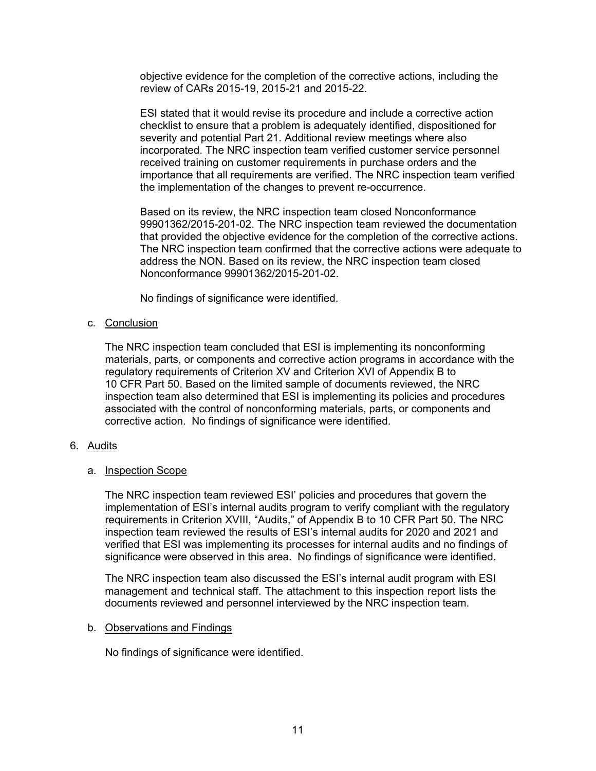objective evidence for the completion of the corrective actions, including the review of CARs 2015-19, 2015-21 and 2015-22.

ESI stated that it would revise its procedure and include a corrective action checklist to ensure that a problem is adequately identified, dispositioned for severity and potential Part 21. Additional review meetings where also incorporated. The NRC inspection team verified customer service personnel received training on customer requirements in purchase orders and the importance that all requirements are verified. The NRC inspection team verified the implementation of the changes to prevent re-occurrence.

Based on its review, the NRC inspection team closed Nonconformance 99901362/2015-201-02. The NRC inspection team reviewed the documentation that provided the objective evidence for the completion of the corrective actions. The NRC inspection team confirmed that the corrective actions were adequate to address the NON. Based on its review, the NRC inspection team closed Nonconformance 99901362/2015-201-02.

No findings of significance were identified.

## c. Conclusion

The NRC inspection team concluded that ESI is implementing its nonconforming materials, parts, or components and corrective action programs in accordance with the regulatory requirements of Criterion XV and Criterion XVI of Appendix B to 10 CFR Part 50. Based on the limited sample of documents reviewed, the NRC inspection team also determined that ESI is implementing its policies and procedures associated with the control of nonconforming materials, parts, or components and corrective action. No findings of significance were identified.

## 6. Audits

## a. Inspection Scope

The NRC inspection team reviewed ESI' policies and procedures that govern the implementation of ESI's internal audits program to verify compliant with the regulatory requirements in Criterion XVIII, "Audits," of Appendix B to 10 CFR Part 50. The NRC inspection team reviewed the results of ESI's internal audits for 2020 and 2021 and verified that ESI was implementing its processes for internal audits and no findings of significance were observed in this area. No findings of significance were identified.

The NRC inspection team also discussed the ESI's internal audit program with ESI management and technical staff. The attachment to this inspection report lists the documents reviewed and personnel interviewed by the NRC inspection team.

### b. Observations and Findings

No findings of significance were identified.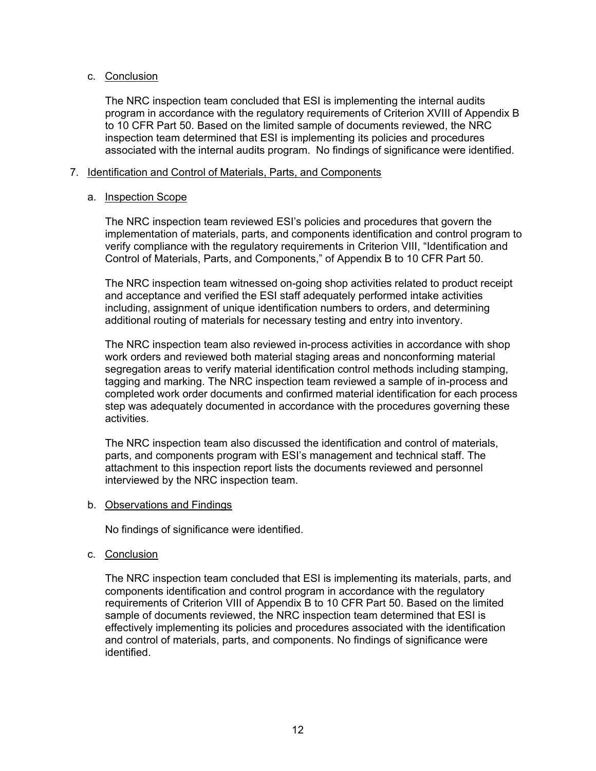## c. Conclusion

The NRC inspection team concluded that ESI is implementing the internal audits program in accordance with the regulatory requirements of Criterion XVIII of Appendix B to 10 CFR Part 50. Based on the limited sample of documents reviewed, the NRC inspection team determined that ESI is implementing its policies and procedures associated with the internal audits program. No findings of significance were identified.

## 7. Identification and Control of Materials, Parts, and Components

## a. Inspection Scope

The NRC inspection team reviewed ESI's policies and procedures that govern the implementation of materials, parts, and components identification and control program to verify compliance with the regulatory requirements in Criterion VIII, "Identification and Control of Materials, Parts, and Components," of Appendix B to 10 CFR Part 50.

The NRC inspection team witnessed on-going shop activities related to product receipt and acceptance and verified the ESI staff adequately performed intake activities including, assignment of unique identification numbers to orders, and determining additional routing of materials for necessary testing and entry into inventory.

The NRC inspection team also reviewed in-process activities in accordance with shop work orders and reviewed both material staging areas and nonconforming material segregation areas to verify material identification control methods including stamping, tagging and marking. The NRC inspection team reviewed a sample of in-process and completed work order documents and confirmed material identification for each process step was adequately documented in accordance with the procedures governing these activities.

The NRC inspection team also discussed the identification and control of materials, parts, and components program with ESI's management and technical staff. The attachment to this inspection report lists the documents reviewed and personnel interviewed by the NRC inspection team.

### b. Observations and Findings

No findings of significance were identified.

## c. Conclusion

The NRC inspection team concluded that ESI is implementing its materials, parts, and components identification and control program in accordance with the regulatory requirements of Criterion VIII of Appendix B to 10 CFR Part 50. Based on the limited sample of documents reviewed, the NRC inspection team determined that ESI is effectively implementing its policies and procedures associated with the identification and control of materials, parts, and components. No findings of significance were identified.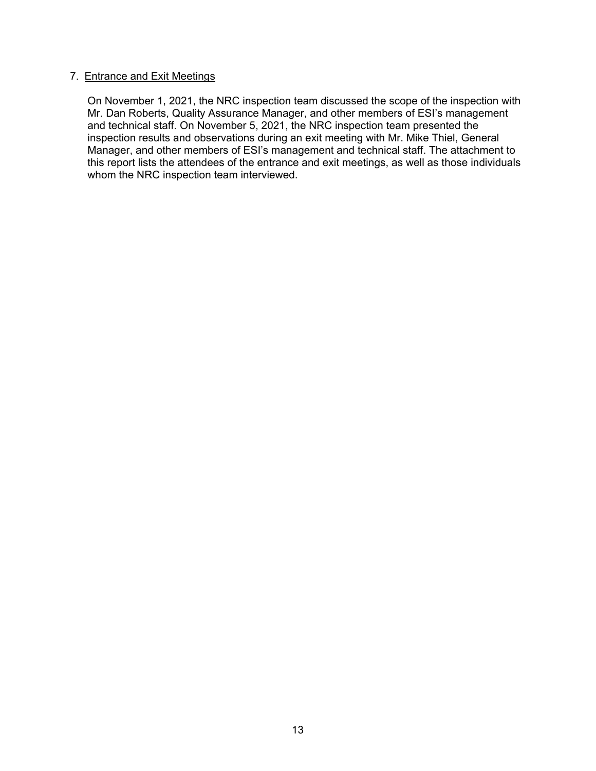## 7. Entrance and Exit Meetings

On November 1, 2021, the NRC inspection team discussed the scope of the inspection with Mr. Dan Roberts, Quality Assurance Manager, and other members of ESI's management and technical staff. On November 5, 2021, the NRC inspection team presented the inspection results and observations during an exit meeting with Mr. Mike Thiel, General Manager, and other members of ESI's management and technical staff. The attachment to this report lists the attendees of the entrance and exit meetings, as well as those individuals whom the NRC inspection team interviewed.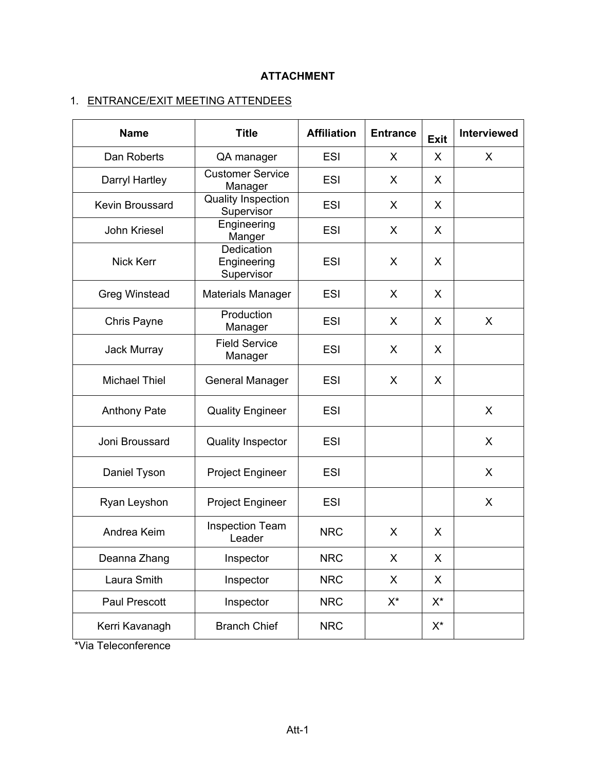# **ATTACHMENT**

# 1. ENTRANCE/EXIT MEETING ATTENDEES

| <b>Name</b>            | <b>Title</b>                            | <b>Affiliation</b> | <b>Entrance</b> | <b>Exit</b> | Interviewed  |
|------------------------|-----------------------------------------|--------------------|-----------------|-------------|--------------|
| Dan Roberts            | QA manager                              | <b>ESI</b>         | X               | X           | X            |
| Darryl Hartley         | <b>Customer Service</b><br>Manager      | <b>ESI</b>         | X               | X           |              |
| <b>Kevin Broussard</b> | <b>Quality Inspection</b><br>Supervisor | <b>ESI</b>         | X               | X           |              |
| John Kriesel           | Engineering<br>Manger                   | <b>ESI</b>         | X               | X           |              |
| <b>Nick Kerr</b>       | Dedication<br>Engineering<br>Supervisor | <b>ESI</b>         | X               | X           |              |
| <b>Greg Winstead</b>   | <b>Materials Manager</b>                | <b>ESI</b>         | X               | X           |              |
| Chris Payne            | Production<br>Manager                   | <b>ESI</b>         | X               | X           | X            |
| Jack Murray            | <b>Field Service</b><br>Manager         | <b>ESI</b>         | X               | X           |              |
| <b>Michael Thiel</b>   | <b>General Manager</b>                  | <b>ESI</b>         | X               | X           |              |
| <b>Anthony Pate</b>    | <b>Quality Engineer</b>                 | <b>ESI</b>         |                 |             | X            |
| Joni Broussard         | <b>Quality Inspector</b>                | <b>ESI</b>         |                 |             | X            |
| Daniel Tyson           | <b>Project Engineer</b>                 | <b>ESI</b>         |                 |             | X            |
| Ryan Leyshon           | <b>Project Engineer</b>                 | <b>ESI</b>         |                 |             | $\mathsf{X}$ |
| Andrea Keim            | <b>Inspection Team</b><br>Leader        | <b>NRC</b>         | X               | X           |              |
| Deanna Zhang           | Inspector                               | <b>NRC</b>         | X               | X           |              |
| Laura Smith            | Inspector                               | <b>NRC</b>         | X               | X           |              |
| Paul Prescott          | Inspector                               | <b>NRC</b>         | $X^*$           | $X^*$       |              |
| Kerri Kavanagh         | <b>Branch Chief</b>                     | <b>NRC</b>         |                 | $X^*$       |              |

\*Via Teleconference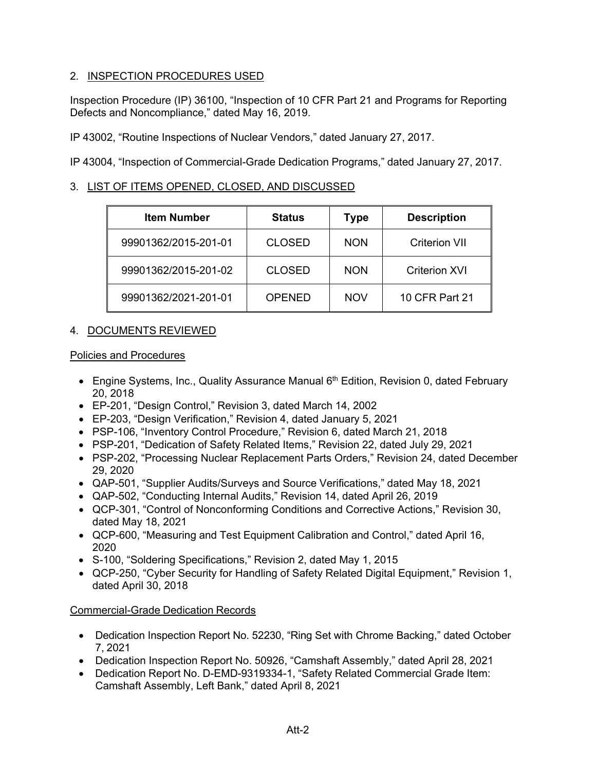## 2. INSPECTION PROCEDURES USED

Inspection Procedure (IP) 36100, "Inspection of 10 CFR Part 21 and Programs for Reporting Defects and Noncompliance," dated May 16, 2019.

IP 43002, "Routine Inspections of Nuclear Vendors," dated January 27, 2017.

IP 43004, "Inspection of Commercial-Grade Dedication Programs," dated January 27, 2017.

## 3. LIST OF ITEMS OPENED, CLOSED, AND DISCUSSED

| <b>Item Number</b>   | <b>Status</b> | <b>Type</b> | <b>Description</b>   |
|----------------------|---------------|-------------|----------------------|
| 99901362/2015-201-01 | <b>CLOSED</b> | <b>NON</b>  | <b>Criterion VII</b> |
| 99901362/2015-201-02 | <b>CLOSED</b> | <b>NON</b>  | <b>Criterion XVI</b> |
| 99901362/2021-201-01 | OPENED        | <b>NOV</b>  | 10 CFR Part 21       |

## 4. DOCUMENTS REVIEWED

## Policies and Procedures

- Engine Systems, Inc., Quality Assurance Manual 6<sup>th</sup> Edition, Revision 0, dated February 20, 2018
- EP-201, "Design Control," Revision 3, dated March 14, 2002
- EP-203, "Design Verification," Revision 4, dated January 5, 2021
- PSP-106, "Inventory Control Procedure," Revision 6, dated March 21, 2018
- PSP-201, "Dedication of Safety Related Items," Revision 22, dated July 29, 2021
- PSP-202, "Processing Nuclear Replacement Parts Orders," Revision 24, dated December 29, 2020
- QAP-501, "Supplier Audits/Surveys and Source Verifications," dated May 18, 2021
- QAP-502, "Conducting Internal Audits," Revision 14, dated April 26, 2019
- QCP-301, "Control of Nonconforming Conditions and Corrective Actions," Revision 30, dated May 18, 2021
- QCP-600, "Measuring and Test Equipment Calibration and Control," dated April 16, 2020
- S-100, "Soldering Specifications," Revision 2, dated May 1, 2015
- QCP-250, "Cyber Security for Handling of Safety Related Digital Equipment," Revision 1, dated April 30, 2018

## Commercial-Grade Dedication Records

- Dedication Inspection Report No. 52230, "Ring Set with Chrome Backing," dated October 7, 2021
- Dedication Inspection Report No. 50926, "Camshaft Assembly," dated April 28, 2021
- Dedication Report No. D-EMD-9319334-1, "Safety Related Commercial Grade Item: Camshaft Assembly, Left Bank," dated April 8, 2021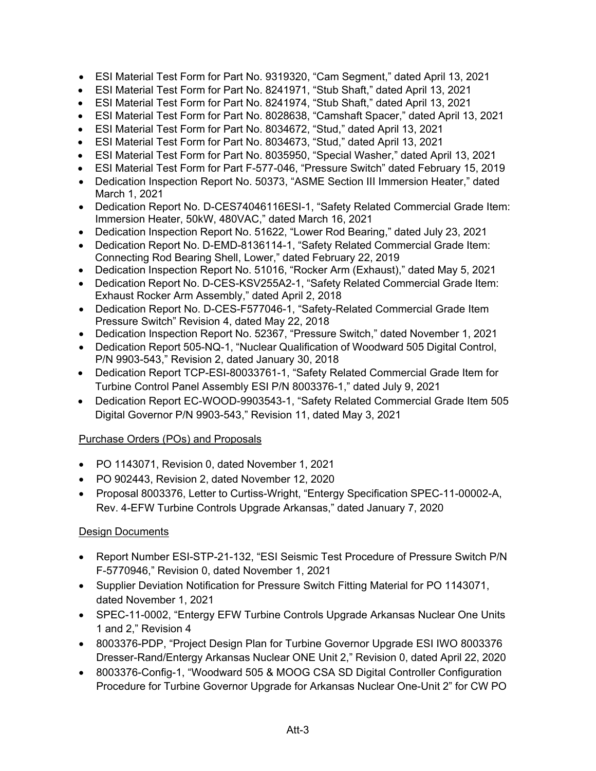- ESI Material Test Form for Part No. 9319320, "Cam Segment," dated April 13, 2021
- ESI Material Test Form for Part No. 8241971, "Stub Shaft," dated April 13, 2021
- ESI Material Test Form for Part No. 8241974, "Stub Shaft," dated April 13, 2021
- ESI Material Test Form for Part No. 8028638, "Camshaft Spacer," dated April 13, 2021
- ESI Material Test Form for Part No. 8034672, "Stud," dated April 13, 2021
- ESI Material Test Form for Part No. 8034673, "Stud," dated April 13, 2021
- ESI Material Test Form for Part No. 8035950, "Special Washer," dated April 13, 2021
- ESI Material Test Form for Part F-577-046, "Pressure Switch" dated February 15, 2019
- Dedication Inspection Report No. 50373, "ASME Section III Immersion Heater," dated March 1, 2021
- Dedication Report No. D-CES74046116ESI-1, "Safety Related Commercial Grade Item: Immersion Heater, 50kW, 480VAC," dated March 16, 2021
- Dedication Inspection Report No. 51622, "Lower Rod Bearing," dated July 23, 2021
- Dedication Report No. D-EMD-8136114-1, "Safety Related Commercial Grade Item: Connecting Rod Bearing Shell, Lower," dated February 22, 2019
- Dedication Inspection Report No. 51016, "Rocker Arm (Exhaust)," dated May 5, 2021
- Dedication Report No. D-CES-KSV255A2-1, "Safety Related Commercial Grade Item: Exhaust Rocker Arm Assembly," dated April 2, 2018
- Dedication Report No. D-CES-F577046-1, "Safety-Related Commercial Grade Item Pressure Switch" Revision 4, dated May 22, 2018
- Dedication Inspection Report No. 52367, "Pressure Switch," dated November 1, 2021
- Dedication Report 505-NQ-1, "Nuclear Qualification of Woodward 505 Digital Control, P/N 9903-543," Revision 2, dated January 30, 2018
- Dedication Report TCP-ESI-80033761-1, "Safety Related Commercial Grade Item for Turbine Control Panel Assembly ESI P/N 8003376-1," dated July 9, 2021
- Dedication Report EC-WOOD-9903543-1, "Safety Related Commercial Grade Item 505 Digital Governor P/N 9903-543," Revision 11, dated May 3, 2021

## Purchase Orders (POs) and Proposals

- PO 1143071, Revision 0, dated November 1, 2021
- PO 902443, Revision 2, dated November 12, 2020
- Proposal 8003376, Letter to Curtiss-Wright, "Entergy Specification SPEC-11-00002-A, Rev. 4-EFW Turbine Controls Upgrade Arkansas," dated January 7, 2020

## Design Documents

- Report Number ESI-STP-21-132, "ESI Seismic Test Procedure of Pressure Switch P/N F-5770946," Revision 0, dated November 1, 2021
- Supplier Deviation Notification for Pressure Switch Fitting Material for PO 1143071, dated November 1, 2021
- SPEC-11-0002, "Entergy EFW Turbine Controls Upgrade Arkansas Nuclear One Units 1 and 2," Revision 4
- 8003376-PDP, "Project Design Plan for Turbine Governor Upgrade ESI IWO 8003376 Dresser-Rand/Entergy Arkansas Nuclear ONE Unit 2," Revision 0, dated April 22, 2020
- 8003376-Config-1, "Woodward 505 & MOOG CSA SD Digital Controller Configuration Procedure for Turbine Governor Upgrade for Arkansas Nuclear One-Unit 2" for CW PO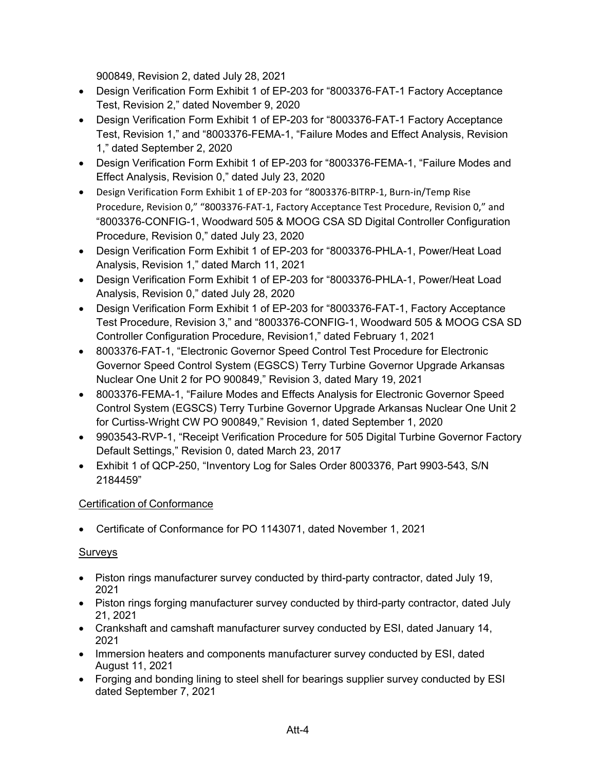900849, Revision 2, dated July 28, 2021

- Design Verification Form Exhibit 1 of EP-203 for "8003376-FAT-1 Factory Acceptance Test, Revision 2," dated November 9, 2020
- Design Verification Form Exhibit 1 of EP-203 for "8003376-FAT-1 Factory Acceptance Test, Revision 1," and "8003376-FEMA-1, "Failure Modes and Effect Analysis, Revision 1," dated September 2, 2020
- Design Verification Form Exhibit 1 of EP-203 for "8003376-FEMA-1, "Failure Modes and Effect Analysis, Revision 0," dated July 23, 2020
- Design Verification Form Exhibit 1 of EP-203 for "8003376-BITRP-1, Burn-in/Temp Rise Procedure, Revision 0," "8003376-FAT-1, Factory Acceptance Test Procedure, Revision 0," and "8003376-CONFIG-1, Woodward 505 & MOOG CSA SD Digital Controller Configuration Procedure, Revision 0," dated July 23, 2020
- Design Verification Form Exhibit 1 of EP-203 for "8003376-PHLA-1, Power/Heat Load Analysis, Revision 1," dated March 11, 2021
- Design Verification Form Exhibit 1 of EP-203 for "8003376-PHLA-1, Power/Heat Load Analysis, Revision 0," dated July 28, 2020
- Design Verification Form Exhibit 1 of EP-203 for "8003376-FAT-1, Factory Acceptance Test Procedure, Revision 3," and "8003376-CONFIG-1, Woodward 505 & MOOG CSA SD Controller Configuration Procedure, Revision1," dated February 1, 2021
- 8003376-FAT-1, "Electronic Governor Speed Control Test Procedure for Electronic Governor Speed Control System (EGSCS) Terry Turbine Governor Upgrade Arkansas Nuclear One Unit 2 for PO 900849," Revision 3, dated Mary 19, 2021
- 8003376-FEMA-1, "Failure Modes and Effects Analysis for Electronic Governor Speed Control System (EGSCS) Terry Turbine Governor Upgrade Arkansas Nuclear One Unit 2 for Curtiss-Wright CW PO 900849," Revision 1, dated September 1, 2020
- 9903543-RVP-1, "Receipt Verification Procedure for 505 Digital Turbine Governor Factory Default Settings," Revision 0, dated March 23, 2017
- Exhibit 1 of QCP-250, "Inventory Log for Sales Order 8003376, Part 9903-543, S/N 2184459"

# Certification of Conformance

• Certificate of Conformance for PO 1143071, dated November 1, 2021

# Surveys

- Piston rings manufacturer survey conducted by third-party contractor, dated July 19, 2021
- Piston rings forging manufacturer survey conducted by third-party contractor, dated July 21, 2021
- Crankshaft and camshaft manufacturer survey conducted by ESI, dated January 14, 2021
- Immersion heaters and components manufacturer survey conducted by ESI, dated August 11, 2021
- Forging and bonding lining to steel shell for bearings supplier survey conducted by ESI dated September 7, 2021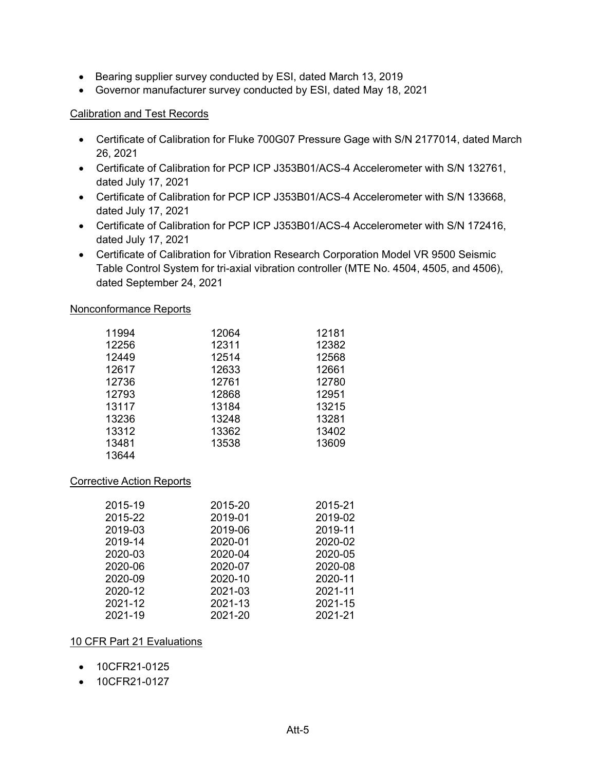- Bearing supplier survey conducted by ESI, dated March 13, 2019
- Governor manufacturer survey conducted by ESI, dated May 18, 2021

## Calibration and Test Records

- Certificate of Calibration for Fluke 700G07 Pressure Gage with S/N 2177014, dated March 26, 2021
- Certificate of Calibration for PCP ICP J353B01/ACS-4 Accelerometer with S/N 132761, dated July 17, 2021
- Certificate of Calibration for PCP ICP J353B01/ACS-4 Accelerometer with S/N 133668, dated July 17, 2021
- Certificate of Calibration for PCP ICP J353B01/ACS-4 Accelerometer with S/N 172416, dated July 17, 2021
- Certificate of Calibration for Vibration Research Corporation Model VR 9500 Seismic Table Control System for tri-axial vibration controller (MTE No. 4504, 4505, and 4506), dated September 24, 2021

### Nonconformance Reports

| 11994 | 12064 | 12181 |
|-------|-------|-------|
| 12256 | 12311 | 12382 |
| 12449 | 12514 | 12568 |
| 12617 | 12633 | 12661 |
| 12736 | 12761 | 12780 |
| 12793 | 12868 | 12951 |
| 13117 | 13184 | 13215 |
| 13236 | 13248 | 13281 |
| 13312 | 13362 | 13402 |
| 13481 | 13538 | 13609 |
| 13644 |       |       |

## Corrective Action Reports

| 2015-19 | 2015-20 | 2015-21 |
|---------|---------|---------|
| 2015-22 | 2019-01 | 2019-02 |
| 2019-03 | 2019-06 | 2019-11 |
| 2019-14 | 2020-01 | 2020-02 |
| 2020-03 | 2020-04 | 2020-05 |
| 2020-06 | 2020-07 | 2020-08 |
| 2020-09 | 2020-10 | 2020-11 |
| 2020-12 | 2021-03 | 2021-11 |
| 2021-12 | 2021-13 | 2021-15 |
| 2021-19 | 2021-20 | 2021-21 |

## 10 CFR Part 21 Evaluations

- 10CFR21-0125
- 10CFR21-0127